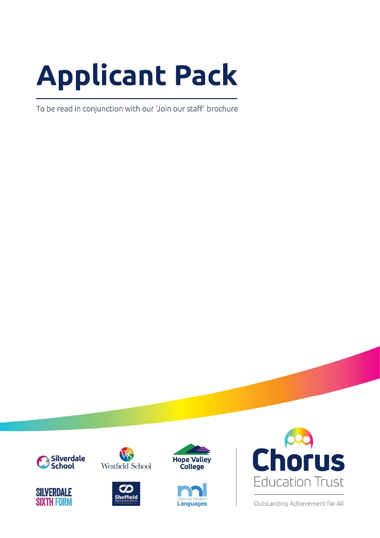# **Applicant Pack**

To be read in conjunction with our 'Join our staff' brochure







Westfield School







Outstanding Achievement for All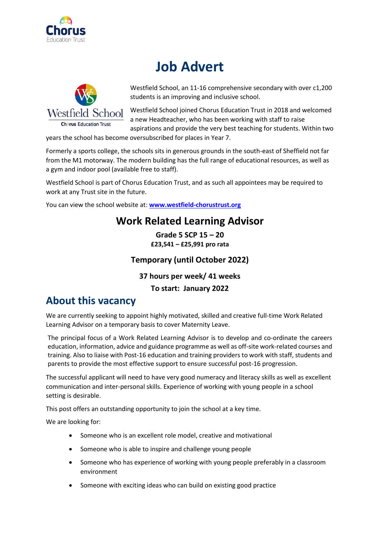

## **Job Advert**



Westfield School, an 11-16 comprehensive secondary with over c1,200 students is an improving and inclusive school.

Westfield School joined Chorus Education Trust in 2018 and welcomed a new Headteacher, who has been working with staff to raise aspirations and provide the very best teaching for students. Within two

years the school has become oversubscribed for places in Year 7.

Formerly a sports college, the schools sits in generous grounds in the south-east of Sheffield not far from the M1 motorway. The modern building has the full range of educational resources, as well as a gym and indoor pool (available free to staff).

Westfield School is part of Chorus Education Trust, and as such all appointees may be required to work at any Trust site in the future.

You can view the school website at: **[www.westfield-chorustrust.org](http://www.westfield-chorustrust.org/)**

## **Work Related Learning Advisor**

**Grade 5 SCP 15 – 20 £23,541 – £25,991 pro rata**

#### **Temporary (until October 2022)**

**37 hours per week/ 41 weeks** 

**To start: January 2022**

### **About this vacancy**

We are currently seeking to appoint highly motivated, skilled and creative full-time Work Related Learning Advisor on a temporary basis to cover Maternity Leave.

The principal focus of a Work Related Learning Advisor is to develop and co-ordinate the careers education, information, advice and guidance programme as well as off-site work-related courses and training. Also to liaise with Post-16 education and training providers to work with staff, students and parents to provide the most effective support to ensure successful post-16 progression.

The successful applicant will need to have very good numeracy and literacy skills as well as excellent communication and inter-personal skills. Experience of working with young people in a school setting is desirable.

This post offers an outstanding opportunity to join the school at a key time.

We are looking for:

- Someone who is an excellent role model, creative and motivational
- Someone who is able to inspire and challenge young people
- Someone who has experience of working with young people preferably in a classroom environment
- Someone with exciting ideas who can build on existing good practice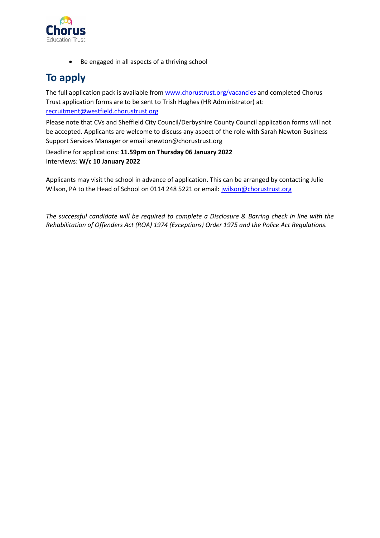

• Be engaged in all aspects of a thriving school

## **To apply**

The full application pack is available from [www.chorustrust.org/vacancies](http://www.chorustrust.org/vacancies) and completed Chorus Trust application forms are to be sent to Trish Hughes (HR Administrator) at: [recruitment@westfield.chorustrust.org](mailto:recruitment@westfield.chorustrust.org)

Please note that CVs and Sheffield City Council/Derbyshire County Council application forms will not be accepted. Applicants are welcome to discuss any aspect of the role with Sarah Newton Business Support Services Manager or email snewton@chorustrust.org

Deadline for applications: **11.59pm on Thursday 06 January 2022** Interviews: **W/c 10 January 2022**

Applicants may visit the school in advance of application. This can be arranged by contacting Julie Wilson, PA to the Head of School on 0114 248 5221 or email: [jwilson@chorustrust.org](mailto:jwilson@chorustrust.org)

*The successful candidate will be required to complete a Disclosure & Barring check in line with the Rehabilitation of Offenders Act (ROA) 1974 (Exceptions) Order 1975 and the Police Act Regulations.*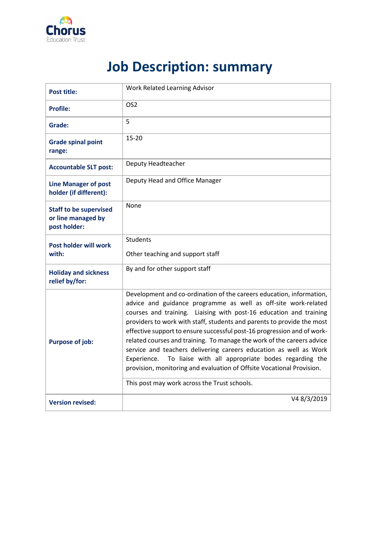

# **Job Description: summary**

| <b>Post title:</b>                                                  | Work Related Learning Advisor                                                                                                                                                                                                                                                                                                                                                                                                                                                                                                                                                                                                                                                                                  |
|---------------------------------------------------------------------|----------------------------------------------------------------------------------------------------------------------------------------------------------------------------------------------------------------------------------------------------------------------------------------------------------------------------------------------------------------------------------------------------------------------------------------------------------------------------------------------------------------------------------------------------------------------------------------------------------------------------------------------------------------------------------------------------------------|
| <b>Profile:</b>                                                     | OS <sub>2</sub>                                                                                                                                                                                                                                                                                                                                                                                                                                                                                                                                                                                                                                                                                                |
| Grade:                                                              | 5                                                                                                                                                                                                                                                                                                                                                                                                                                                                                                                                                                                                                                                                                                              |
| <b>Grade spinal point</b><br>range:                                 | $15 - 20$                                                                                                                                                                                                                                                                                                                                                                                                                                                                                                                                                                                                                                                                                                      |
| <b>Accountable SLT post:</b>                                        | Deputy Headteacher                                                                                                                                                                                                                                                                                                                                                                                                                                                                                                                                                                                                                                                                                             |
| <b>Line Manager of post</b><br>holder (if different):               | Deputy Head and Office Manager                                                                                                                                                                                                                                                                                                                                                                                                                                                                                                                                                                                                                                                                                 |
| <b>Staff to be supervised</b><br>or line managed by<br>post holder: | None                                                                                                                                                                                                                                                                                                                                                                                                                                                                                                                                                                                                                                                                                                           |
| <b>Post holder will work</b><br>with:                               | <b>Students</b><br>Other teaching and support staff                                                                                                                                                                                                                                                                                                                                                                                                                                                                                                                                                                                                                                                            |
| <b>Holiday and sickness</b><br>relief by/for:                       | By and for other support staff                                                                                                                                                                                                                                                                                                                                                                                                                                                                                                                                                                                                                                                                                 |
| <b>Purpose of job:</b>                                              | Development and co-ordination of the careers education, information,<br>advice and guidance programme as well as off-site work-related<br>courses and training. Liaising with post-16 education and training<br>providers to work with staff, students and parents to provide the most<br>effective support to ensure successful post-16 progression and of work-<br>related courses and training. To manage the work of the careers advice<br>service and teachers delivering careers education as well as Work<br>To liaise with all appropriate bodes regarding the<br>Experience.<br>provision, monitoring and evaluation of Offsite Vocational Provision.<br>This post may work across the Trust schools. |
| <b>Version revised:</b>                                             | V48/3/2019                                                                                                                                                                                                                                                                                                                                                                                                                                                                                                                                                                                                                                                                                                     |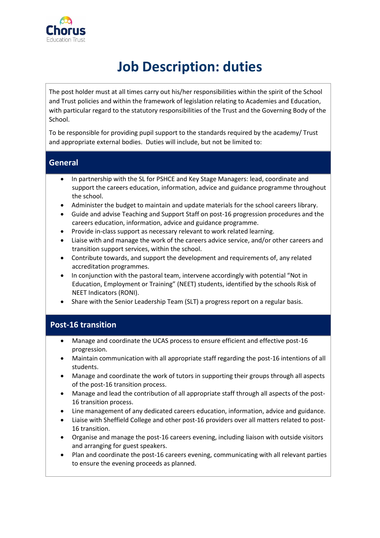

# **Job Description: duties**

The post holder must at all times carry out his/her responsibilities within the spirit of the School and Trust policies and within the framework of legislation relating to Academies and Education, with particular regard to the statutory responsibilities of the Trust and the Governing Body of the School.

To be responsible for providing pupil support to the standards required by the academy/ Trust and appropriate external bodies. Duties will include, but not be limited to:

#### **General**

- In partnership with the SL for PSHCE and Key Stage Managers: lead, coordinate and support the careers education, information, advice and guidance programme throughout the school.
- Administer the budget to maintain and update materials for the school careers library.
- Guide and advise Teaching and Support Staff on post-16 progression procedures and the careers education, information, advice and guidance programme.
- Provide in-class support as necessary relevant to work related learning.
- Liaise with and manage the work of the careers advice service, and/or other careers and transition support services, within the school.
- Contribute towards, and support the development and requirements of, any related accreditation programmes.
- In conjunction with the pastoral team, intervene accordingly with potential "Not in Education, Employment or Training" (NEET) students, identified by the schools Risk of NEET Indicators (RONI).
- Share with the Senior Leadership Team (SLT) a progress report on a regular basis.

#### **Post-16 transition**

- Manage and coordinate the UCAS process to ensure efficient and effective post-16 progression.
- Maintain communication with all appropriate staff regarding the post-16 intentions of all students.
- Manage and coordinate the work of tutors in supporting their groups through all aspects of the post-16 transition process.
- Manage and lead the contribution of all appropriate staff through all aspects of the post-16 transition process.
- Line management of any dedicated careers education, information, advice and guidance.
- Liaise with Sheffield College and other post-16 providers over all matters related to post-16 transition.
- Organise and manage the post-16 careers evening, including liaison with outside visitors and arranging for guest speakers.
- Plan and coordinate the post-16 careers evening, communicating with all relevant parties to ensure the evening proceeds as planned.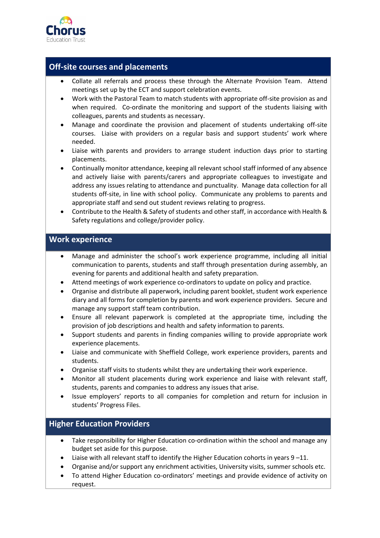

#### **Off-site courses and placements**

- Collate all referrals and process these through the Alternate Provision Team. Attend meetings set up by the ECT and support celebration events.
- Work with the Pastoral Team to match students with appropriate off-site provision as and when required. Co-ordinate the monitoring and support of the students liaising with colleagues, parents and students as necessary.
- Manage and coordinate the provision and placement of students undertaking off-site courses. Liaise with providers on a regular basis and support students' work where needed.
- Liaise with parents and providers to arrange student induction days prior to starting placements.
- Continually monitor attendance, keeping all relevant school staff informed of any absence and actively liaise with parents/carers and appropriate colleagues to investigate and address any issues relating to attendance and punctuality. Manage data collection for all students off-site, in line with school policy. Communicate any problems to parents and appropriate staff and send out student reviews relating to progress.
- Contribute to the Health & Safety of students and other staff, in accordance with Health & Safety regulations and college/provider policy.

#### **Work experience**

- Manage and administer the school's work experience programme, including all initial communication to parents, students and staff through presentation during assembly, an evening for parents and additional health and safety preparation.
- Attend meetings of work experience co-ordinators to update on policy and practice.
- Organise and distribute all paperwork, including parent booklet, student work experience diary and all forms for completion by parents and work experience providers. Secure and manage any support staff team contribution.
- Ensure all relevant paperwork is completed at the appropriate time, including the provision of job descriptions and health and safety information to parents.
- Support students and parents in finding companies willing to provide appropriate work experience placements.
- Liaise and communicate with Sheffield College, work experience providers, parents and students.
- Organise staff visits to students whilst they are undertaking their work experience.
- Monitor all student placements during work experience and liaise with relevant staff, students, parents and companies to address any issues that arise.
- Issue employers' reports to all companies for completion and return for inclusion in students' Progress Files.

#### **Higher Education Providers**

- Take responsibility for Higher Education co-ordination within the school and manage any budget set aside for this purpose.
- Liaise with all relevant staff to identify the Higher Education cohorts in years  $9 11$ .
- Organise and/or support any enrichment activities, University visits, summer schools etc.
- To attend Higher Education co-ordinators' meetings and provide evidence of activity on request.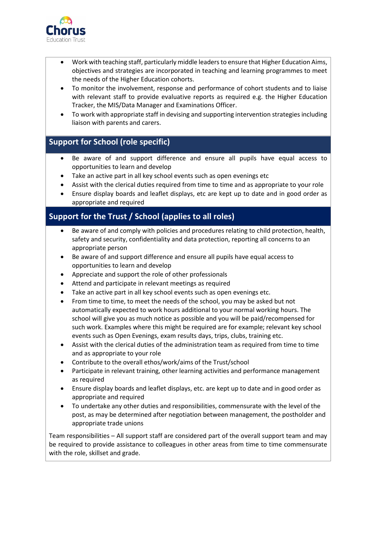

- Work with teaching staff, particularly middle leaders to ensure that Higher Education Aims, objectives and strategies are incorporated in teaching and learning programmes to meet the needs of the Higher Education cohorts.
- To monitor the involvement, response and performance of cohort students and to liaise with relevant staff to provide evaluative reports as required e.g. the Higher Education Tracker, the MIS/Data Manager and Examinations Officer.
- To work with appropriate staff in devising and supporting intervention strategies including liaison with parents and carers.

#### **Support for School (role specific)**

- Be aware of and support difference and ensure all pupils have equal access to opportunities to learn and develop
- Take an active part in all key school events such as open evenings etc
- Assist with the clerical duties required from time to time and as appropriate to your role
- Ensure display boards and leaflet displays, etc are kept up to date and in good order as appropriate and required

#### **Support for the Trust / School (applies to all roles)**

- Be aware of and comply with policies and procedures relating to child protection, health, safety and security, confidentiality and data protection, reporting all concerns to an appropriate person
- Be aware of and support difference and ensure all pupils have equal access to opportunities to learn and develop
- Appreciate and support the role of other professionals
- Attend and participate in relevant meetings as required
- Take an active part in all key school events such as open evenings etc.
- From time to time, to meet the needs of the school, you may be asked but not automatically expected to work hours additional to your normal working hours. The school will give you as much notice as possible and you will be paid/recompensed for such work. Examples where this might be required are for example; relevant key school events such as Open Evenings, exam results days, trips, clubs, training etc.
- Assist with the clerical duties of the administration team as required from time to time and as appropriate to your role
- Contribute to the overall ethos/work/aims of the Trust/school
- Participate in relevant training, other learning activities and performance management as required
- Ensure display boards and leaflet displays, etc. are kept up to date and in good order as appropriate and required
- To undertake any other duties and responsibilities, commensurate with the level of the post, as may be determined after negotiation between management, the postholder and appropriate trade unions

Team responsibilities – All support staff are considered part of the overall support team and may be required to provide assistance to colleagues in other areas from time to time commensurate with the role, skillset and grade.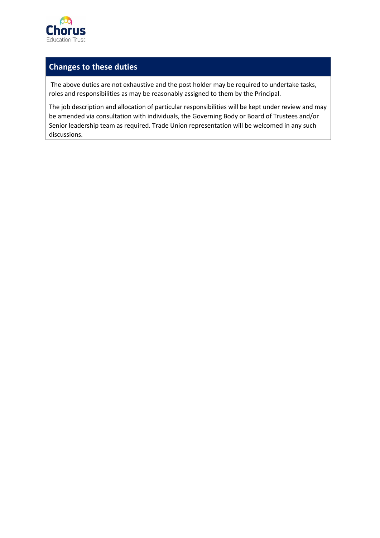

#### **Changes to these duties**

The above duties are not exhaustive and the post holder may be required to undertake tasks, roles and responsibilities as may be reasonably assigned to them by the Principal.

The job description and allocation of particular responsibilities will be kept under review and may be amended via consultation with individuals, the Governing Body or Board of Trustees and/or Senior leadership team as required. Trade Union representation will be welcomed in any such discussions.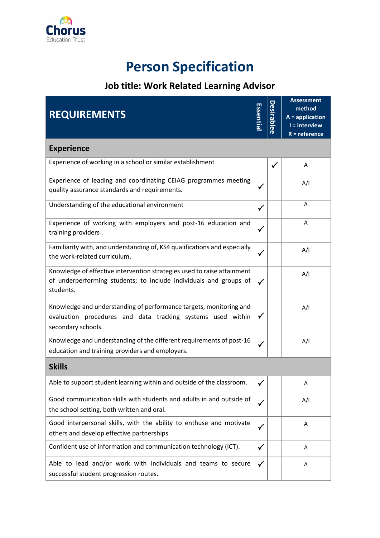

# **Person Specification**

## **Job title: Work Related Learning Advisor**

| <b>REQUIREMENTS</b>                                                                                                                                       |              | esirablee    | <b>Assessment</b><br>method<br>$A =$ application<br>$I =$ interview<br>$R = reference$ |  |  |
|-----------------------------------------------------------------------------------------------------------------------------------------------------------|--------------|--------------|----------------------------------------------------------------------------------------|--|--|
| <b>Experience</b>                                                                                                                                         |              |              |                                                                                        |  |  |
| Experience of working in a school or similar establishment                                                                                                |              | $\checkmark$ | A                                                                                      |  |  |
| Experience of leading and coordinating CEIAG programmes meeting<br>quality assurance standards and requirements.                                          |              |              | A/I                                                                                    |  |  |
| Understanding of the educational environment                                                                                                              | $\checkmark$ |              | A                                                                                      |  |  |
| Experience of working with employers and post-16 education and<br>training providers.                                                                     | $\checkmark$ |              | A                                                                                      |  |  |
| Familiarity with, and understanding of, KS4 qualifications and especially<br>the work-related curriculum.                                                 | $\checkmark$ |              | A/I                                                                                    |  |  |
| Knowledge of effective intervention strategies used to raise attainment<br>of underperforming students; to include individuals and groups of<br>students. | $\checkmark$ |              | A/I                                                                                    |  |  |
| Knowledge and understanding of performance targets, monitoring and<br>evaluation procedures and data tracking systems used within<br>secondary schools.   |              |              | A/I                                                                                    |  |  |
| Knowledge and understanding of the different requirements of post-16<br>education and training providers and employers.                                   | $\checkmark$ |              | A/I                                                                                    |  |  |
| <b>Skills</b>                                                                                                                                             |              |              |                                                                                        |  |  |
| Able to support student learning within and outside of the classroom.                                                                                     | $\checkmark$ |              | А                                                                                      |  |  |
| Good communication skills with students and adults in and outside of<br>the school setting, both written and oral.                                        | $\checkmark$ |              | A/I                                                                                    |  |  |
| Good interpersonal skills, with the ability to enthuse and motivate<br>others and develop effective partnerships                                          |              |              | Α                                                                                      |  |  |
| Confident use of information and communication technology (ICT).                                                                                          | $\checkmark$ |              | A                                                                                      |  |  |
| Able to lead and/or work with individuals and teams to secure<br>successful student progression routes.                                                   | $\checkmark$ |              | Α                                                                                      |  |  |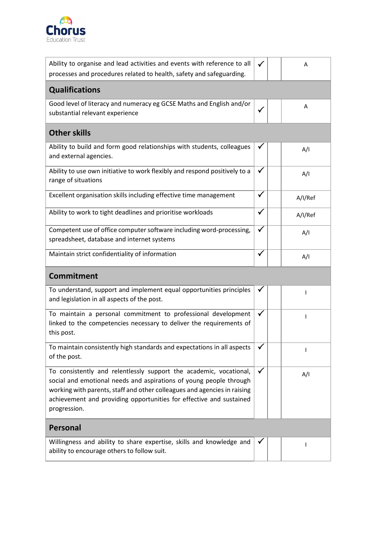

| Ability to organise and lead activities and events with reference to all<br>processes and procedures related to health, safety and safeguarding.                                                                                                                                                            |              | А       |  |  |  |  |
|-------------------------------------------------------------------------------------------------------------------------------------------------------------------------------------------------------------------------------------------------------------------------------------------------------------|--------------|---------|--|--|--|--|
| <b>Qualifications</b>                                                                                                                                                                                                                                                                                       |              |         |  |  |  |  |
| Good level of literacy and numeracy eg GCSE Maths and English and/or<br>substantial relevant experience                                                                                                                                                                                                     |              | Α       |  |  |  |  |
| <b>Other skills</b>                                                                                                                                                                                                                                                                                         |              |         |  |  |  |  |
| Ability to build and form good relationships with students, colleagues<br>and external agencies.                                                                                                                                                                                                            | ✓            | A/I     |  |  |  |  |
| Ability to use own initiative to work flexibly and respond positively to a<br>range of situations                                                                                                                                                                                                           | $\checkmark$ | A/I     |  |  |  |  |
| Excellent organisation skills including effective time management                                                                                                                                                                                                                                           | $\checkmark$ | A/I/Ref |  |  |  |  |
| Ability to work to tight deadlines and prioritise workloads                                                                                                                                                                                                                                                 | $\checkmark$ | A/I/Ref |  |  |  |  |
| Competent use of office computer software including word-processing,<br>spreadsheet, database and internet systems                                                                                                                                                                                          | ✓            | A/I     |  |  |  |  |
| Maintain strict confidentiality of information                                                                                                                                                                                                                                                              |              | A/I     |  |  |  |  |
| <b>Commitment</b>                                                                                                                                                                                                                                                                                           |              |         |  |  |  |  |
| To understand, support and implement equal opportunities principles<br>and legislation in all aspects of the post.                                                                                                                                                                                          | ✔            |         |  |  |  |  |
| To maintain a personal commitment to professional development<br>linked to the competencies necessary to deliver the requirements of                                                                                                                                                                        | $\checkmark$ |         |  |  |  |  |
| this post.                                                                                                                                                                                                                                                                                                  |              |         |  |  |  |  |
| To maintain consistently high standards and expectations in all aspects<br>of the post.                                                                                                                                                                                                                     | ✓            |         |  |  |  |  |
| To consistently and relentlessly support the academic, vocational,<br>social and emotional needs and aspirations of young people through<br>working with parents, staff and other colleagues and agencies in raising<br>achievement and providing opportunities for effective and sustained<br>progression. | $\checkmark$ | A/I     |  |  |  |  |
| <b>Personal</b>                                                                                                                                                                                                                                                                                             |              |         |  |  |  |  |